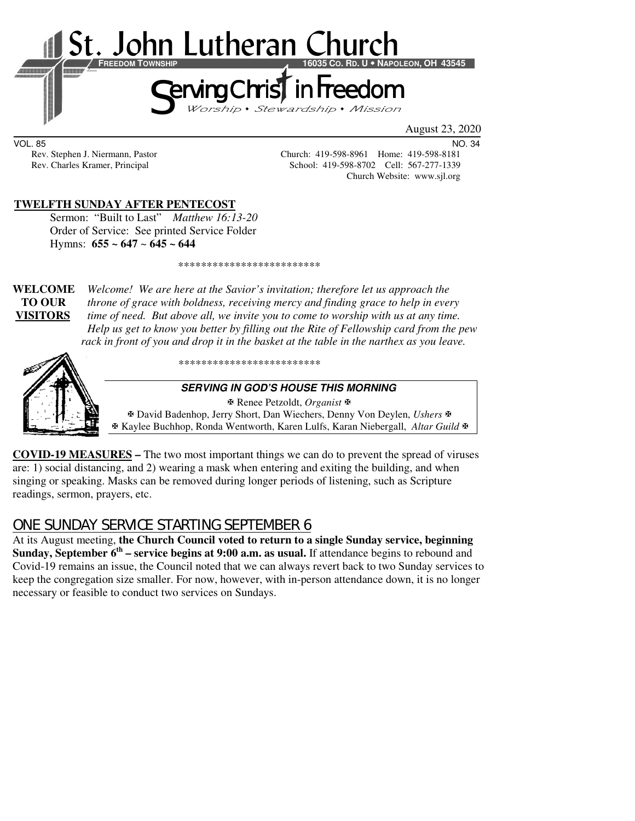

August 23, 2020

VOL. 85 NO. 34

Rev. Stephen J. Niermann, Pastor Church: 419-598-8961 Home: 419-598-8181<br>Rev. Charles Kramer, Principal School: 419-598-8702 Cell: 567-277-1339 School: 419-598-8702 Cell: 567-277-1339 Church Website: www.sjl.org

#### **TWELFTH SUNDAY AFTER PENTECOST**

Sermon: "Built to Last" *Matthew 16:13-20* Order of Service:See printed Service Folder Hymns: **655 ~ 647** ~ **645 ~ 644**

\*\*\*\*\*\*\*\*\*\*\*\*\*\*\*\*\*\*\*\*\*\*\*\*\*

**WELCOME** *Welcome! We are here at the Savior's invitation; therefore let us approach the* **TO OUR** *throne of grace with boldness, receiving mercy and finding grace to help in every*  **VISITORS** *time of need. But above all, we invite you to come to worship with us at any time. Help us get to know you better by filling out the Rite of Fellowship card from the pew rack in front of you and drop it in the basket at the table in the narthex as you leave.* 



\*\*\*\*\*\*\*\*\*\*\*\*\*\*\*\*\*\*\*\*\*\*\*\*\*

#### **SERVING IN GOD'S HOUSE THIS MORNING**

 Renee Petzoldt, *Organist* David Badenhop, Jerry Short, Dan Wiechers, Denny Von Deylen, *Ushers* Kaylee Buchhop, Ronda Wentworth, Karen Lulfs, Karan Niebergall, *Altar Guild*

**COVID-19 MEASURES –** The two most important things we can do to prevent the spread of viruses are: 1) social distancing, and 2) wearing a mask when entering and exiting the building, and when singing or speaking. Masks can be removed during longer periods of listening, such as Scripture readings, sermon, prayers, etc.

# ONE SUNDAY SERVICE STARTING SEPTEMBER 6

At its August meeting, **the Church Council voted to return to a single Sunday service, beginning Sunday, September 6<sup>th</sup>** – service begins at 9:00 a.m. as usual. If attendance begins to rebound and Covid-19 remains an issue, the Council noted that we can always revert back to two Sunday services to keep the congregation size smaller. For now, however, with in-person attendance down, it is no longer necessary or feasible to conduct two services on Sundays.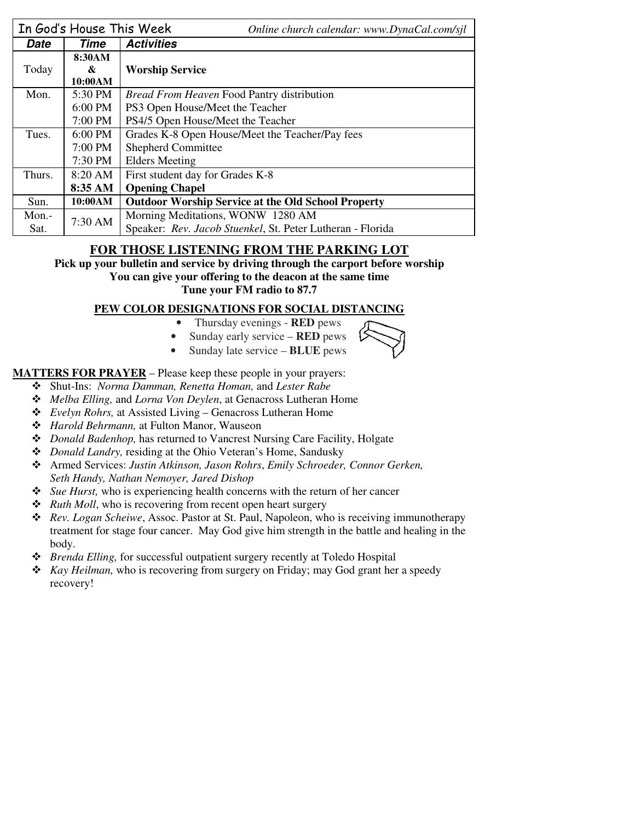|        | In God's House This Week | Online church calendar: www.DynaCal.com/sjl                |  |  |
|--------|--------------------------|------------------------------------------------------------|--|--|
| Date   | Time                     | <b>Activities</b>                                          |  |  |
|        | 8:30AM                   |                                                            |  |  |
| Today  | &                        | <b>Worship Service</b>                                     |  |  |
|        | 10:00AM                  |                                                            |  |  |
| Mon.   | 5:30 PM                  | <i>Bread From Heaven Food Pantry distribution</i>          |  |  |
|        | $6:00$ PM                | PS3 Open House/Meet the Teacher                            |  |  |
|        | $7:00$ PM                | PS4/5 Open House/Meet the Teacher                          |  |  |
| Tues.  | $6:00$ PM                | Grades K-8 Open House/Meet the Teacher/Pay fees            |  |  |
|        | $7:00$ PM                | <b>Shepherd Committee</b>                                  |  |  |
|        | 7:30 PM                  | <b>Elders Meeting</b>                                      |  |  |
| Thurs. | $8:20 \text{ AM}$        | First student day for Grades K-8                           |  |  |
|        | 8:35 AM                  | <b>Opening Chapel</b>                                      |  |  |
| Sun.   | 10:00AM                  | <b>Outdoor Worship Service at the Old School Property</b>  |  |  |
| Mon.-  | $7:30 \text{ AM}$        | Morning Meditations, WONW 1280 AM                          |  |  |
| Sat.   |                          | Speaker: Rev. Jacob Stuenkel, St. Peter Lutheran - Florida |  |  |

### **FOR THOSE LISTENING FROM THE PARKING LOT**

**Pick up your bulletin and service by driving through the carport before worship You can give your offering to the deacon at the same time Tune your FM radio to 87.7** 

#### **PEW COLOR DESIGNATIONS FOR SOCIAL DISTANCING**

- Thursday evenings **RED** pews
- Sunday early service **RED** pews
- Sunday late service **BLUE** pews

**MATTERS FOR PRAYER** – Please keep these people in your prayers:

- Shut-Ins: *Norma Damman, Renetta Homan,* and *Lester Rabe*
- *Melba Elling,* and *Lorna Von Deylen*, at Genacross Lutheran Home
- *Evelyn Rohrs,* at Assisted Living Genacross Lutheran Home
- *Harold Behrmann,* at Fulton Manor, Wauseon
- *Donald Badenhop,* has returned to Vancrest Nursing Care Facility, Holgate
- *Donald Landry,* residing at the Ohio Veteran's Home, Sandusky
- Armed Services: *Justin Atkinson, Jason Rohrs*, *Emily Schroeder, Connor Gerken, Seth Handy, Nathan Nemoyer, Jared Dishop*
- *Sue Hurst,* who is experiencing health concerns with the return of her cancer
- **❖** *Ruth Moll*, who is recovering from recent open heart surgery
- *Rev. Logan Scheiwe*, Assoc. Pastor at St. Paul, Napoleon, who is receiving immunotherapy treatment for stage four cancer. May God give him strength in the battle and healing in the body.
- *Brenda Elling,* for successful outpatient surgery recently at Toledo Hospital
- *Kay Heilman,* who is recovering from surgery on Friday; may God grant her a speedy recovery!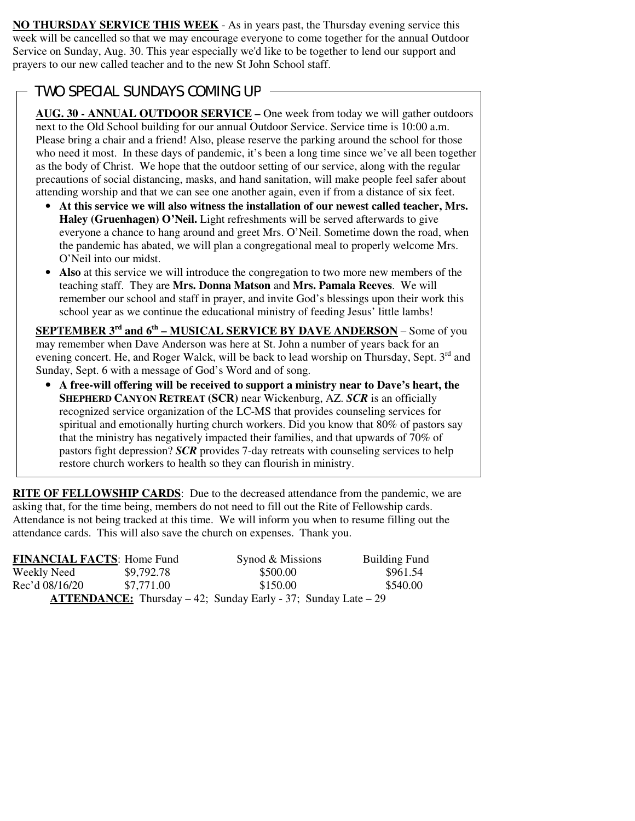**NO THURSDAY SERVICE THIS WEEK** - As in years past, the Thursday evening service this week will be cancelled so that we may encourage everyone to come together for the annual Outdoor Service on Sunday, Aug. 30. This year especially we'd like to be together to lend our support and prayers to our new called teacher and to the new St John School staff.

## TWO SPECIAL SUNDAYS COMING UP

 $\overline{a}$ 

**AUG. 30 - ANNUAL OUTDOOR SERVICE –** One week from today we will gather outdoors next to the Old School building for our annual Outdoor Service. Service time is 10:00 a.m. Please bring a chair and a friend! Also, please reserve the parking around the school for those who need it most. In these days of pandemic, it's been a long time since we've all been together as the body of Christ. We hope that the outdoor setting of our service, along with the regular precautions of social distancing, masks, and hand sanitation, will make people feel safer about attending worship and that we can see one another again, even if from a distance of six feet.

- **At this service we will also witness the installation of our newest called teacher, Mrs. Haley (Gruenhagen) O'Neil.** Light refreshments will be served afterwards to give everyone a chance to hang around and greet Mrs. O'Neil. Sometime down the road, when the pandemic has abated, we will plan a congregational meal to properly welcome Mrs. O'Neil into our midst.
- **Also** at this service we will introduce the congregation to two more new members of the teaching staff. They are **Mrs. Donna Matson** and **Mrs. Pamala Reeves**. We will remember our school and staff in prayer, and invite God's blessings upon their work this school year as we continue the educational ministry of feeding Jesus' little lambs!

**SEPTEMBER 3rd and 6th – MUSICAL SERVICE BY DAVE ANDERSON** – Some of you may remember when Dave Anderson was here at St. John a number of years back for an evening concert. He, and Roger Walck, will be back to lead worship on Thursday, Sept.  $3<sup>rd</sup>$  and Sunday, Sept. 6 with a message of God's Word and of song.

• **A free-will offering will be received to support a ministry near to Dave's heart, the SHEPHERD CANYON RETREAT (SCR)** near Wickenburg, AZ. *SCR* is an officially recognized service organization of the LC-MS that provides counseling services for spiritual and emotionally hurting church workers. Did you know that 80% of pastors say that the ministry has negatively impacted their families, and that upwards of 70% of pastors fight depression? *SCR* provides 7-day retreats with counseling services to help restore church workers to health so they can flourish in ministry.

**RITE OF FELLOWSHIP CARDS**: Due to the decreased attendance from the pandemic, we are asking that, for the time being, members do not need to fill out the Rite of Fellowship cards. Attendance is not being tracked at this time. We will inform you when to resume filling out the attendance cards. This will also save the church on expenses. Thank you.

| <b>FINANCIAL FACTS: Home Fund</b>                                          |            | Synod & Missions | <b>Building Fund</b> |  |  |
|----------------------------------------------------------------------------|------------|------------------|----------------------|--|--|
| Weekly Need                                                                | \$9,792.78 | \$500.00         | \$961.54             |  |  |
| Rec'd 08/16/20                                                             | \$7.771.00 | \$150.00         | \$540.00             |  |  |
| <b>ATTENDANCE:</b> Thursday $-42$ ; Sunday Early $-37$ ; Sunday Late $-29$ |            |                  |                      |  |  |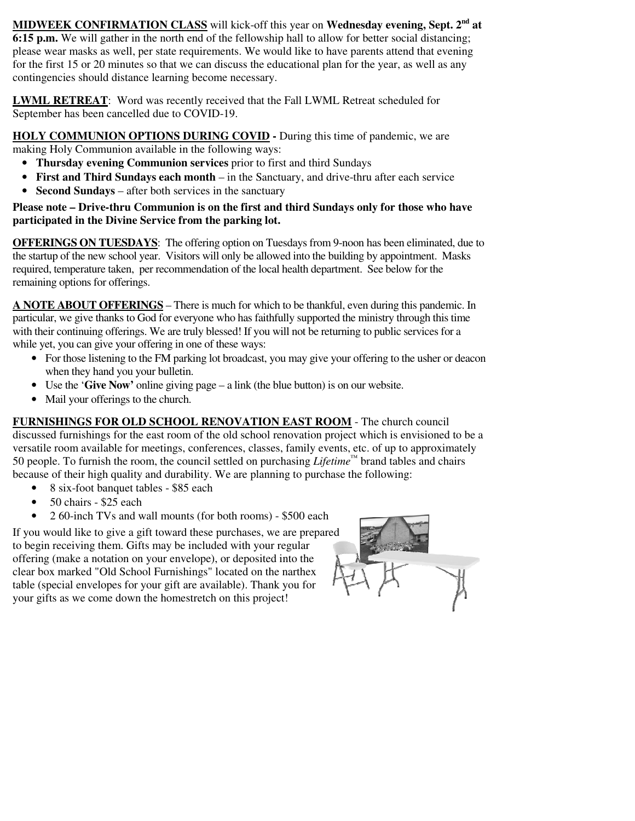**MIDWEEK CONFIRMATION CLASS** will kick-off this year on **Wednesday evening, Sept. 2nd at 6:15 p.m.** We will gather in the north end of the fellowship hall to allow for better social distancing; please wear masks as well, per state requirements. We would like to have parents attend that evening for the first 15 or 20 minutes so that we can discuss the educational plan for the year, as well as any contingencies should distance learning become necessary.

**LWML RETREAT**: Word was recently received that the Fall LWML Retreat scheduled for September has been cancelled due to COVID-19.

**HOLY COMMUNION OPTIONS DURING COVID -** During this time of pandemic, we are making Holy Communion available in the following ways:

- **Thursday evening Communion services** prior to first and third Sundays
- **First and Third Sundays each month** in the Sanctuary, and drive-thru after each service
- **Second Sundays** after both services in the sanctuary

#### **Please note – Drive-thru Communion is on the first and third Sundays only for those who have participated in the Divine Service from the parking lot.**

**OFFERINGS ON TUESDAYS**: The offering option on Tuesdays from 9-noon has been eliminated, due to the startup of the new school year. Visitors will only be allowed into the building by appointment. Masks required, temperature taken, per recommendation of the local health department. See below for the remaining options for offerings.

**A NOTE ABOUT OFFERINGS** – There is much for which to be thankful, even during this pandemic. In particular, we give thanks to God for everyone who has faithfully supported the ministry through this time with their continuing offerings. We are truly blessed! If you will not be returning to public services for a while yet, you can give your offering in one of these ways:

- For those listening to the FM parking lot broadcast, you may give your offering to the usher or deacon when they hand you your bulletin.
- Use the '**Give Now'** online giving page a link (the blue button) is on our website.
- Mail your offerings to the church.

**FURNISHINGS FOR OLD SCHOOL RENOVATION EAST ROOM** - The church council discussed furnishings for the east room of the old school renovation project which is envisioned to be a versatile room available for meetings, conferences, classes, family events, etc. of up to approximately 50 people. To furnish the room, the council settled on purchasing *Lifetime™* brand tables and chairs because of their high quality and durability. We are planning to purchase the following:

- 8 six-foot banquet tables \$85 each
- 50 chairs \$25 each
- 2 60-inch TVs and wall mounts (for both rooms) \$500 each

If you would like to give a gift toward these purchases, we are prepared to begin receiving them. Gifts may be included with your regular offering (make a notation on your envelope), or deposited into the clear box marked "Old School Furnishings" located on the narthex table (special envelopes for your gift are available). Thank you for your gifts as we come down the homestretch on this project!

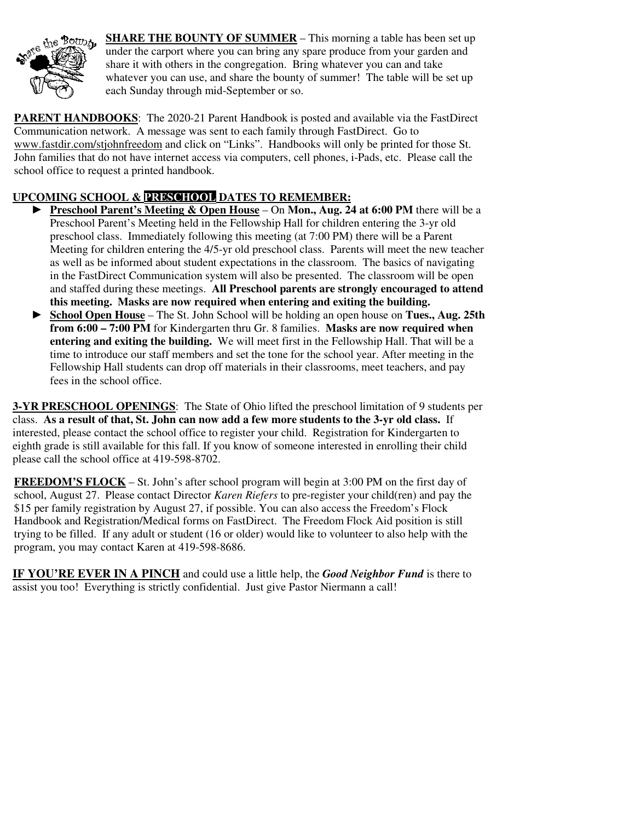

**SHARE THE BOUNTY OF SUMMER** – This morning a table has been set up under the carport where you can bring any spare produce from your garden and share it with others in the congregation. Bring whatever you can and take whatever you can use, and share the bounty of summer! The table will be set up each Sunday through mid-September or so.

**PARENT HANDBOOKS**: The 2020-21 Parent Handbook is posted and available via the FastDirect Communication network. A message was sent to each family through FastDirect. Go to www.fastdir.com/stjohnfreedom and click on "Links". Handbooks will only be printed for those St. John families that do not have internet access via computers, cell phones, i-Pads, etc. Please call the school office to request a printed handbook.

## **UPCOMING SCHOOL & PRESCHOOL DATES TO REMEMBER:**

- ► **Preschool Parent's Meeting & Open House** On **Mon., Aug. 24 at 6:00 PM** there will be a Preschool Parent's Meeting held in the Fellowship Hall for children entering the 3-yr old preschool class. Immediately following this meeting (at 7:00 PM) there will be a Parent Meeting for children entering the 4/5-yr old preschool class. Parents will meet the new teacher as well as be informed about student expectations in the classroom. The basics of navigating in the FastDirect Communication system will also be presented. The classroom will be open and staffed during these meetings. **All Preschool parents are strongly encouraged to attend this meeting. Masks are now required when entering and exiting the building.**
- ► **School Open House** The St. John School will be holding an open house on **Tues., Aug. 25th from 6:00 – 7:00 PM** for Kindergarten thru Gr. 8 families. **Masks are now required when entering and exiting the building.** We will meet first in the Fellowship Hall. That will be a time to introduce our staff members and set the tone for the school year. After meeting in the Fellowship Hall students can drop off materials in their classrooms, meet teachers, and pay fees in the school office.

**3-YR PRESCHOOL OPENINGS**: The State of Ohio lifted the preschool limitation of 9 students per class. **As a result of that, St. John can now add a few more students to the 3-yr old class.** If interested, please contact the school office to register your child. Registration for Kindergarten to eighth grade is still available for this fall. If you know of someone interested in enrolling their child please call the school office at 419-598-8702.

**FREEDOM'S FLOCK** – St. John's after school program will begin at 3:00 PM on the first day of school, August 27. Please contact Director *Karen Riefers* to pre-register your child(ren) and pay the \$15 per family registration by August 27, if possible. You can also access the Freedom's Flock Handbook and Registration/Medical forms on FastDirect. The Freedom Flock Aid position is still trying to be filled. If any adult or student (16 or older) would like to volunteer to also help with the program, you may contact Karen at 419-598-8686.

**IF YOU'RE EVER IN A PINCH** and could use a little help, the *Good Neighbor Fund* is there to assist you too! Everything is strictly confidential. Just give Pastor Niermann a call!